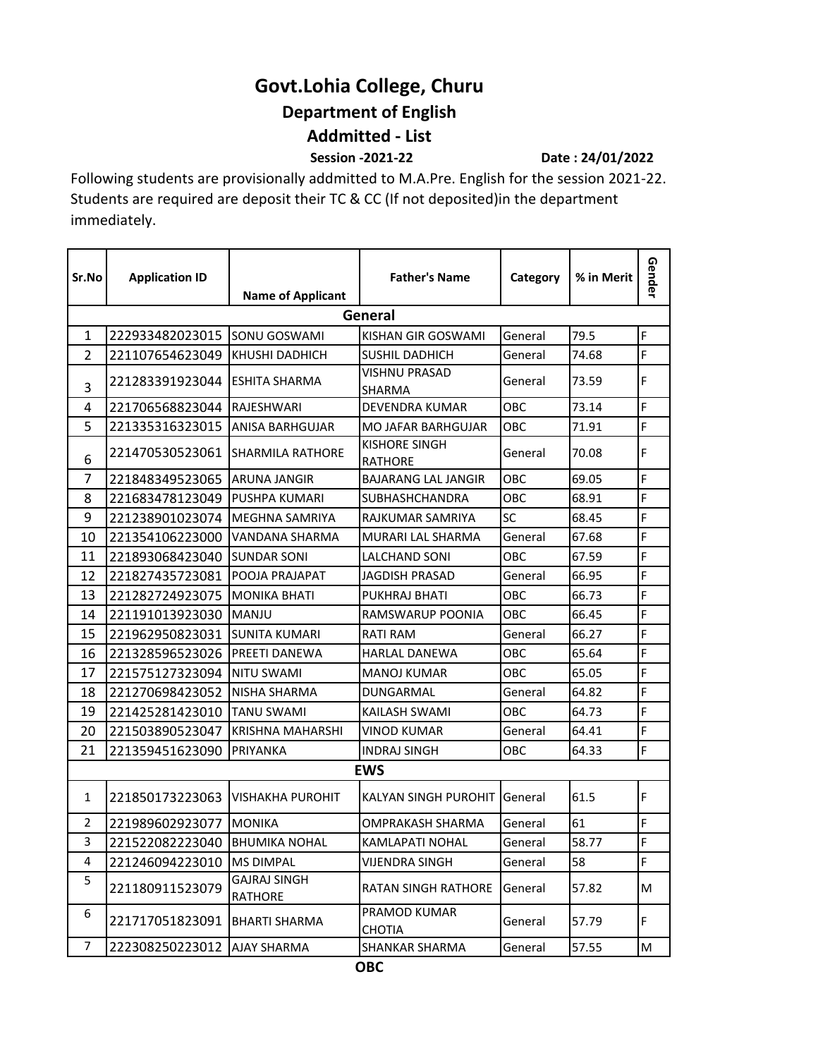## **Govt.Lohia College, Churu Department of English Addmitted - List**

 **Session -2021-22 Date : 24/01/2022**

Following students are provisionally addmitted to M.A.Pre. English for the session 2021-22. Students are required are deposit their TC & CC (If not deposited)in the department immediately.

| Sr.No          | <b>Application ID</b> | <b>Name of Applicant</b>       | <b>Father's Name</b>                   | Category | % in Merit | Gender |  |  |  |  |  |
|----------------|-----------------------|--------------------------------|----------------------------------------|----------|------------|--------|--|--|--|--|--|
| General        |                       |                                |                                        |          |            |        |  |  |  |  |  |
| $\mathbf{1}$   | 222933482023015       | SONU GOSWAMI                   | KISHAN GIR GOSWAMI                     | General  | 79.5       | F      |  |  |  |  |  |
| $\overline{2}$ | 221107654623049       | KHUSHI DADHICH                 | SUSHIL DADHICH                         | General  | 74.68      | F      |  |  |  |  |  |
| 3              | 221283391923044       | <b>ESHITA SHARMA</b>           | <b>VISHNU PRASAD</b><br>SHARMA         | General  | 73.59      | F      |  |  |  |  |  |
| 4              | 221706568823044       | RAJESHWARI                     | DEVENDRA KUMAR                         | OBC      | 73.14      | F      |  |  |  |  |  |
| 5              | 221335316323015       | <b>ANISA BARHGUJAR</b>         | <b>MO JAFAR BARHGUJAR</b>              | OBC      | 71.91      | F      |  |  |  |  |  |
| 6              | 221470530523061       | <b>SHARMILA RATHORE</b>        | <b>KISHORE SINGH</b><br><b>RATHORE</b> | General  | 70.08      | F      |  |  |  |  |  |
| $\overline{7}$ | 221848349523065       | <b>ARUNA JANGIR</b>            | <b>BAJARANG LAL JANGIR</b>             | OBC      | 69.05      | F      |  |  |  |  |  |
| 8              | 221683478123049       | PUSHPA KUMARI                  | <b>SUBHASHCHANDRA</b>                  | OBC      | 68.91      | F      |  |  |  |  |  |
| 9              | 221238901023074       | MEGHNA SAMRIYA                 | RAJKUMAR SAMRIYA                       | SC       | 68.45      | F      |  |  |  |  |  |
| 10             | 221354106223000       | VANDANA SHARMA                 | MURARI LAL SHARMA                      | General  | 67.68      | F      |  |  |  |  |  |
| 11             | 221893068423040       | <b>SUNDAR SONI</b>             | <b>LALCHAND SONI</b>                   | OBC      | 67.59      | F      |  |  |  |  |  |
| 12             | 221827435723081       | POOJA PRAJAPAT                 | <b>JAGDISH PRASAD</b>                  | General  | 66.95      | F      |  |  |  |  |  |
| 13             | 221282724923075       | <b>MONIKA BHATI</b>            | PUKHRAJ BHATI                          | OBC      | 66.73      | F      |  |  |  |  |  |
| 14             | 221191013923030       | MANJU                          | RAMSWARUP POONIA                       | OBC      | 66.45      | F      |  |  |  |  |  |
| 15             | 221962950823031       | <b>SUNITA KUMARI</b>           | <b>RATI RAM</b>                        | General  | 66.27      | F      |  |  |  |  |  |
| 16             | 221328596523026       | PREETI DANEWA                  | <b>HARLAL DANEWA</b>                   | OBC      | 65.64      | F      |  |  |  |  |  |
| 17             | 221575127323094       | <b>NITU SWAMI</b>              | <b>MANOJ KUMAR</b>                     | OBC      | 65.05      | F      |  |  |  |  |  |
| 18             | 221270698423052       | NISHA SHARMA                   | DUNGARMAL                              | General  | 64.82      | F      |  |  |  |  |  |
| 19             | 221425281423010       | <b>TANU SWAMI</b>              | KAILASH SWAMI                          | OBC      | 64.73      | F      |  |  |  |  |  |
| 20             | 221503890523047       | <b>KRISHNA MAHARSHI</b>        | <b>VINOD KUMAR</b>                     | General  | 64.41      | F      |  |  |  |  |  |
| 21             | 221359451623090       | PRIYANKA                       | <b>INDRAJ SINGH</b>                    | OBC      | 64.33      | F      |  |  |  |  |  |
| <b>EWS</b>     |                       |                                |                                        |          |            |        |  |  |  |  |  |
| $\mathbf{1}$   | 221850173223063       | <b>VISHAKHA PUROHIT</b>        | <b>KALYAN SINGH PUROHIT</b>            | General  | 61.5       | F      |  |  |  |  |  |
| 2              | 221989602923077       | <b>MONIKA</b>                  | <b>OMPRAKASH SHARMA</b>                | General  | 61         | F      |  |  |  |  |  |
| 3              | 221522082223040       | <b>BHUMIKA NOHAL</b>           | KAMLAPATI NOHAL                        | General  | 58.77      | F      |  |  |  |  |  |
| 4              | 221246094223010       | <b>MS DIMPAL</b>               | VIJENDRA SINGH                         | General  | 58         | F      |  |  |  |  |  |
| 5              | 221180911523079       | <b>GAJRAJ SINGH</b><br>RATHORE | <b>RATAN SINGH RATHORE</b>             | General  | 57.82      | M      |  |  |  |  |  |
| 6              | 221717051823091       | <b>BHARTI SHARMA</b>           | PRAMOD KUMAR<br>CHOTIA                 | General  | 57.79      | F      |  |  |  |  |  |
| $\overline{7}$ | 222308250223012       | <b>AJAY SHARMA</b>             | <b>SHANKAR SHARMA</b>                  | General  | 57.55      | M      |  |  |  |  |  |